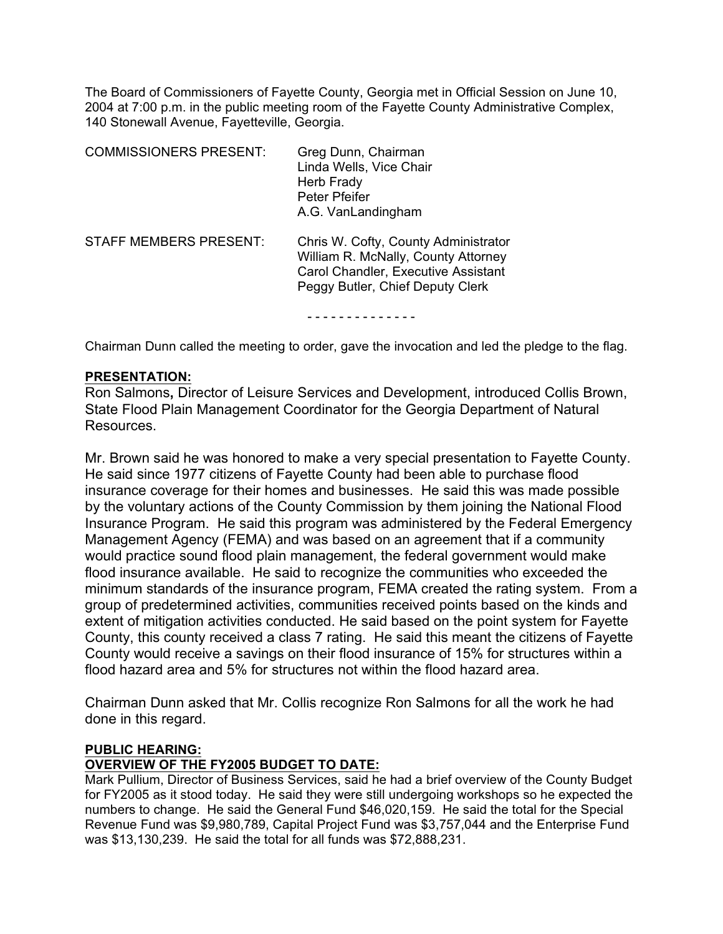The Board of Commissioners of Fayette County, Georgia met in Official Session on June 10, 2004 at 7:00 p.m. in the public meeting room of the Fayette County Administrative Complex, 140 Stonewall Avenue, Fayetteville, Georgia.

| <b>COMMISSIONERS PRESENT:</b> | Greg Dunn, Chairman<br>Linda Wells, Vice Chair<br>Herb Frady<br>Peter Pfeifer<br>A.G. VanLandingham                                                    |
|-------------------------------|--------------------------------------------------------------------------------------------------------------------------------------------------------|
| STAFF MEMBERS PRESENT:        | Chris W. Cofty, County Administrator<br>William R. McNally, County Attorney<br>Carol Chandler, Executive Assistant<br>Peggy Butler, Chief Deputy Clerk |
|                               |                                                                                                                                                        |

Chairman Dunn called the meeting to order, gave the invocation and led the pledge to the flag.

#### **PRESENTATION:**

Ron Salmons**,** Director of Leisure Services and Development, introduced Collis Brown, State Flood Plain Management Coordinator for the Georgia Department of Natural Resources.

Mr. Brown said he was honored to make a very special presentation to Fayette County. He said since 1977 citizens of Fayette County had been able to purchase flood insurance coverage for their homes and businesses. He said this was made possible by the voluntary actions of the County Commission by them joining the National Flood Insurance Program.He said this program was administered by the Federal Emergency Management Agency (FEMA) and was based on an agreement that if a community would practice sound flood plain management, the federal government would make flood insurance available. He said to recognize the communities who exceeded the minimum standards of the insurance program, FEMA created the rating system. From a group of predetermined activities, communities received points based on the kinds and extent of mitigation activities conducted. He said based on the point system for Fayette County, this county received a class 7 rating. He said this meant the citizens of Fayette County would receive a savings on their flood insurance of 15% for structures within a flood hazard area and 5% for structures not within the flood hazard area.

Chairman Dunn asked that Mr. Collis recognize Ron Salmons for all the work he had done in this regard.

#### **PUBLIC HEARING:**

#### **OVERVIEW OF THE FY2005 BUDGET TO DATE:**

Mark Pullium, Director of Business Services, said he had a brief overview of the County Budget for FY2005 as it stood today. He said they were still undergoing workshops so he expected the numbers to change. He said the General Fund \$46,020,159. He said the total for the Special Revenue Fund was \$9,980,789, Capital Project Fund was \$3,757,044 and the Enterprise Fund was \$13,130,239. He said the total for all funds was \$72,888,231.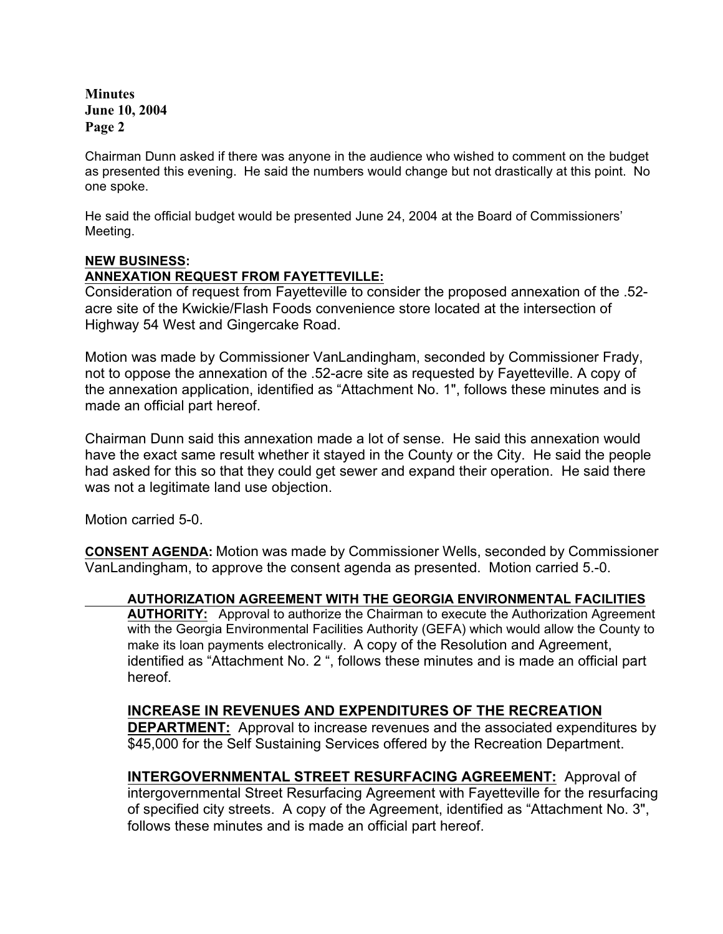**Minutes June 10, 2004 Page 2**

Chairman Dunn asked if there was anyone in the audience who wished to comment on the budget as presented this evening. He said the numbers would change but not drastically at this point. No one spoke.

He said the official budget would be presented June 24, 2004 at the Board of Commissioners' Meeting.

### **NEW BUSINESS:**

### **ANNEXATION REQUEST FROM FAYETTEVILLE:**

Consideration of request from Fayetteville to consider the proposed annexation of the .52 acre site of the Kwickie/Flash Foods convenience store located at the intersection of Highway 54 West and Gingercake Road.

Motion was made by Commissioner VanLandingham, seconded by Commissioner Frady, not to oppose the annexation of the .52-acre site as requested by Fayetteville. A copy of the annexation application, identified as "Attachment No. 1", follows these minutes and is made an official part hereof.

Chairman Dunn said this annexation made a lot of sense. He said this annexation would have the exact same result whether it stayed in the County or the City. He said the people had asked for this so that they could get sewer and expand their operation. He said there was not a legitimate land use objection.

Motion carried 5-0.

**CONSENT AGENDA:** Motion was made by Commissioner Wells, seconded by Commissioner VanLandingham, to approve the consent agenda as presented. Motion carried 5.-0.

**AUTHORIZATION AGREEMENT WITH THE GEORGIA ENVIRONMENTAL FACILITIES**

**AUTHORITY:** Approval to authorize the Chairman to execute the Authorization Agreement with the Georgia Environmental Facilities Authority (GEFA) which would allow the County to make its loan payments electronically.A copy of the Resolution and Agreement, identified as "Attachment No. 2 ", follows these minutes and is made an official part hereof.

# **INCREASE IN REVENUES AND EXPENDITURES OF THE RECREATION**

**DEPARTMENT:** Approval to increase revenues and the associated expenditures by \$45,000 for the Self Sustaining Services offered by the Recreation Department.

**INTERGOVERNMENTAL STREET RESURFACING AGREEMENT:** Approval of intergovernmental Street Resurfacing Agreement with Fayetteville for the resurfacing of specified city streets. A copy of the Agreement, identified as "Attachment No. 3", follows these minutes and is made an official part hereof.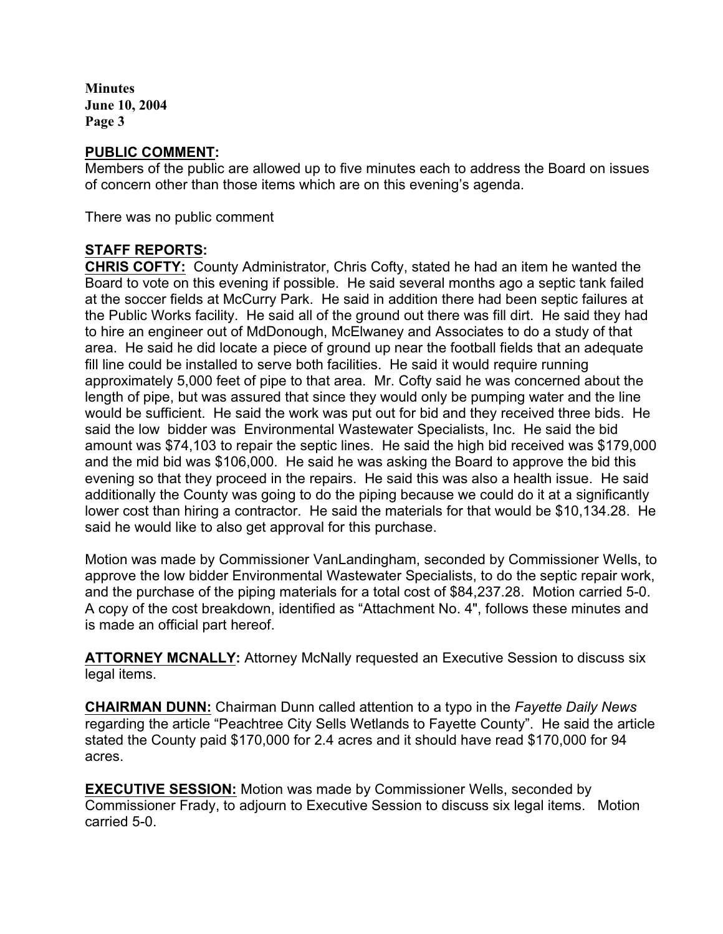**Minutes June 10, 2004 Page 3**

# **PUBLIC COMMENT:**

Members of the public are allowed up to five minutes each to address the Board on issues of concern other than those items which are on this evening's agenda.

There was no public comment

## **STAFF REPORTS:**

**CHRIS COFTY:** County Administrator, Chris Cofty, stated he had an item he wanted the Board to vote on this evening if possible. He said several months ago a septic tank failed at the soccer fields at McCurry Park. He said in addition there had been septic failures at the Public Works facility. He said all of the ground out there was fill dirt. He said they had to hire an engineer out of MdDonough, McElwaney and Associates to do a study of that area. He said he did locate a piece of ground up near the football fields that an adequate fill line could be installed to serve both facilities. He said it would require running approximately 5,000 feet of pipe to that area. Mr. Cofty said he was concerned about the length of pipe, but was assured that since they would only be pumping water and the line would be sufficient. He said the work was put out for bid and they received three bids. He said the low bidder was Environmental Wastewater Specialists, Inc. He said the bid amount was \$74,103 to repair the septic lines. He said the high bid received was \$179,000 and the mid bid was \$106,000. He said he was asking the Board to approve the bid this evening so that they proceed in the repairs. He said this was also a health issue. He said additionally the County was going to do the piping because we could do it at a significantly lower cost than hiring a contractor. He said the materials for that would be \$10,134.28. He said he would like to also get approval for this purchase.

Motion was made by Commissioner VanLandingham, seconded by Commissioner Wells, to approve the low bidder Environmental Wastewater Specialists, to do the septic repair work, and the purchase of the piping materials for a total cost of \$84,237.28. Motion carried 5-0. A copy of the cost breakdown, identified as "Attachment No. 4", follows these minutes and is made an official part hereof.

**ATTORNEY MCNALLY:** Attorney McNally requested an Executive Session to discuss six legal items.

**CHAIRMAN DUNN:** Chairman Dunn called attention to a typo in the *Fayette Daily News* regarding the article "Peachtree City Sells Wetlands to Fayette County". He said the article stated the County paid \$170,000 for 2.4 acres and it should have read \$170,000 for 94 acres.

**EXECUTIVE SESSION:** Motion was made by Commissioner Wells, seconded by Commissioner Frady, to adjourn to Executive Session to discuss six legal items. Motion carried 5-0.